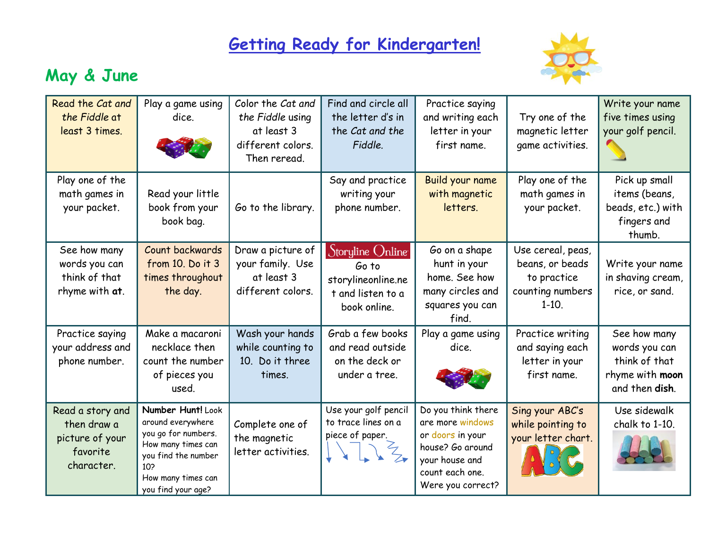## **Getting Ready for Kindergarten!**



## **May & June**

| Read the Cat and<br>the Fiddle at<br>least 3 times.                          | Play a game using<br>dice.                                                                                                                                    | Color the Cat and<br>the Fiddle using<br>at least 3<br>different colors.<br>Then reread. | Find and circle all<br>the letter d's in<br>the Cat and the<br>Fiddle.               | Practice saying<br>and writing each<br>letter in your<br>first name.                                                                     | Try one of the<br>magnetic letter<br>game activities.                              | Write your name<br>five times using<br>your golf pencil.                            |
|------------------------------------------------------------------------------|---------------------------------------------------------------------------------------------------------------------------------------------------------------|------------------------------------------------------------------------------------------|--------------------------------------------------------------------------------------|------------------------------------------------------------------------------------------------------------------------------------------|------------------------------------------------------------------------------------|-------------------------------------------------------------------------------------|
| Play one of the<br>math games in<br>your packet.                             | Read your little<br>book from your<br>book bag.                                                                                                               | Go to the library.                                                                       | Say and practice<br>writing your<br>phone number.                                    | Build your name<br>with magnetic<br>letters.                                                                                             | Play one of the<br>math games in<br>your packet.                                   | Pick up small<br>items (beans,<br>beads, etc.) with<br>fingers and<br>thumb.        |
| See how many<br>words you can<br>think of that<br>rhyme with at.             | Count backwards<br>from 10. Do it 3<br>times throughout<br>the day.                                                                                           | Draw a picture of<br>your family. Use<br>at least 3<br>different colors.                 | Storyline Online<br>Go to<br>storylineonline.ne<br>t and listen to a<br>book online. | Go on a shape<br>hunt in your<br>home. See how<br>many circles and<br>squares you can<br>find.                                           | Use cereal, peas,<br>beans, or beads<br>to practice<br>counting numbers<br>$1-10.$ | Write your name<br>in shaving cream,<br>rice, or sand.                              |
| Practice saying<br>your address and<br>phone number.                         | Make a macaroni<br>necklace then<br>count the number<br>of pieces you<br>used.                                                                                | Wash your hands<br>while counting to<br>10. Do it three<br>times.                        | Grab a few books<br>and read outside<br>on the deck or<br>under a tree.              | Play a game using<br>dice.                                                                                                               | Practice writing<br>and saying each<br>letter in your<br>first name.               | See how many<br>words you can<br>think of that<br>rhyme with moon<br>and then dish. |
| Read a story and<br>then draw a<br>picture of your<br>favorite<br>character. | Number Hunt! Look<br>around everywhere<br>you go for numbers.<br>How many times can<br>you find the number<br>10?<br>How many times can<br>you find your age? | Complete one of<br>the magnetic<br>letter activities.                                    | Use your golf pencil<br>to trace lines on a<br>piece of paper.<br>$\frac{2}{3}$      | Do you think there<br>are more windows<br>or doors in your<br>house? Go around<br>your house and<br>count each one.<br>Were you correct? | Sing your ABC's<br>while pointing to<br>your letter chart.                         | Use sidewalk<br>chalk to 1-10.                                                      |